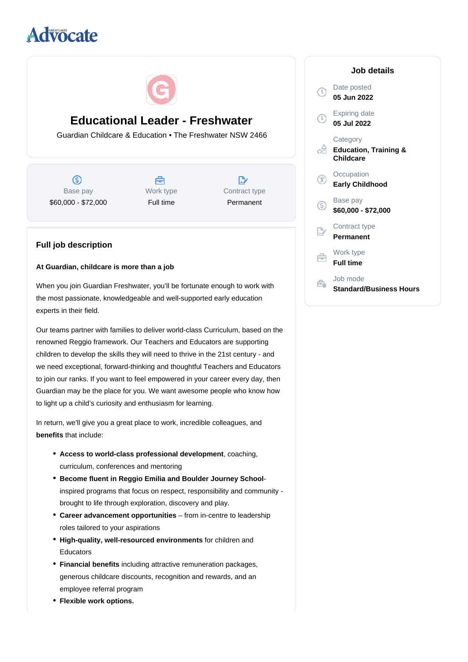# **divocate**



## **Educational Leader - Freshwater**

Guardian Childcare & Education • The Freshwater NSW 2466

 $\circledS$ Base pay \$60,000 - \$72,000

A Work type Full time

 $\mathbb{R}^n$ Contract type Permanent

### **Full job description**

#### **At Guardian, childcare is more than a job**

When you join Guardian Freshwater, you'll be fortunate enough to work with the most passionate, knowledgeable and well-supported early education experts in their field.

Our teams partner with families to deliver world-class Curriculum, based on the renowned Reggio framework. Our Teachers and Educators are supporting children to develop the skills they will need to thrive in the 21st century - and we need exceptional, forward-thinking and thoughtful Teachers and Educators to join our ranks. If you want to feel empowered in your career every day, then Guardian may be the place for you. We want awesome people who know how to light up a child's curiosity and enthusiasm for learning.

In return, we'll give you a great place to work, incredible colleagues, and **benefits** that include:

- Access to world-class professional development, coaching, curriculum, conferences and mentoring
- **Become fluent in Reggio Emilia and Boulder Journey School**inspired programs that focus on respect, responsibility and community brought to life through exploration, discovery and play.
- **Career advancement opportunities** from in-centre to leadership roles tailored to your aspirations
- High-quality, well-resourced environments for children and Educators
- Financial benefits including attractive remuneration packages, generous childcare discounts, recognition and rewards, and an employee referral program
- **Flexible work options.**

| Job details |                                                           |
|-------------|-----------------------------------------------------------|
|             | Date posted<br>05 Jun 2022                                |
|             | <b>Expiring date</b><br>05 Jul 2022                       |
|             | Category<br><b>Education, Training &amp;</b><br>Childcare |
|             | Occupation<br><b>Early Childhood</b>                      |
| G           | Base pay<br>\$60,000 - \$72,000                           |
|             | Contract type<br>Permanent                                |
|             | Work type<br><b>Full time</b>                             |
|             | Job mode<br>Standard/Business Hours                       |